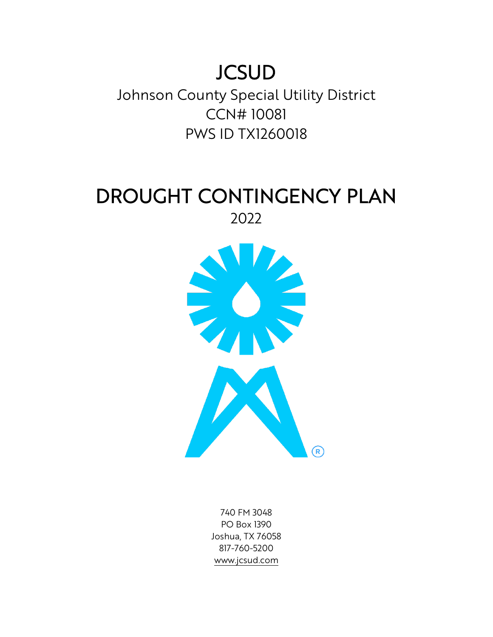# **JCSUD**

Johnson County Special Utility District CCN# 10081 PWS ID TX1260018

## DROUGHT CONTINGENCY PLAN 2022



740 FM 3048 PO Box 1390 Joshua, TX 76058 817-760-5200 [www.jcsud.com](http://www.jcsud.com/)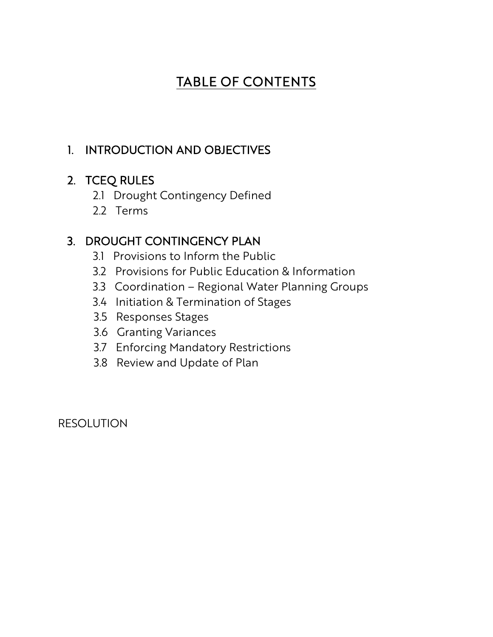## TABLE OF CONTENTS

## 1. INTRODUCTION AND OBJECTIVES

## 2. TCEQ RULES

- 2.1 Drought Contingency Defined
- 2.2 Terms

## 3. DROUGHT CONTINGENCY PLAN

- 3.1 Provisions to Inform the Public
- 3.2 Provisions for Public Education & Information
- 3.3 Coordination Regional Water Planning Groups
- 3.4 Initiation & Termination of Stages
- 3.5 Responses Stages
- 3.6 Granting Variances
- 3.7 Enforcing Mandatory Restrictions
- 3.8 Review and Update of Plan

RESOLUTION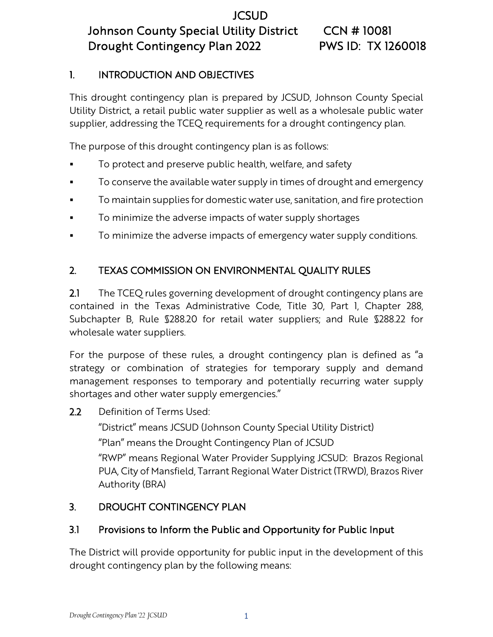#### 1. INTRODUCTION AND OBJECTIVES

This drought contingency plan is prepared by JCSUD, Johnson County Special Utility District, a retail public water supplier as well as a wholesale public water supplier, addressing the TCEQ requirements for a drought contingency plan.

The purpose of this drought contingency plan is as follows:

- To protect and preserve public health, welfare, and safety
- To conserve the available water supply in times of drought and emergency
- **To maintain supplies for domestic water use, sanitation, and fire protection**
- To minimize the adverse impacts of water supply shortages
- To minimize the adverse impacts of emergency water supply conditions.

## 2. TEXAS COMMISSION ON ENVIRONMENTAL QUALITY RULES

2.1 The TCEQ rules governing development of drought contingency plans are contained in the Texas Administrative Code, Title 30, Part 1, Chapter 288, Subchapter B, Rule §288.20 for retail water suppliers; and Rule §288.22 for wholesale water suppliers.

For the purpose of these rules, a drought contingency plan is defined as "a strategy or combination of strategies for temporary supply and demand management responses to temporary and potentially recurring water supply shortages and other water supply emergencies."

2.2 Definition of Terms Used:

"District" means JCSUD (Johnson County Special Utility District)

"Plan" means the Drought Contingency Plan of JCSUD

"RWP" means Regional Water Provider Supplying JCSUD: Brazos Regional PUA, City of Mansfield, Tarrant Regional Water District (TRWD), Brazos River Authority (BRA)

### 3. DROUGHT CONTINGENCY PLAN

### 3.1 Provisions to Inform the Public and Opportunity for Public Input

The District will provide opportunity for public input in the development of this drought contingency plan by the following means: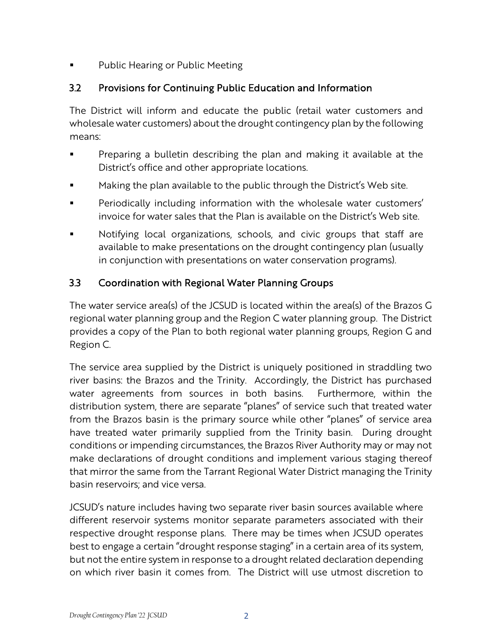Public Hearing or Public Meeting

#### 3.2 Provisions for Continuing Public Education and Information

The District will inform and educate the public (retail water customers and wholesale water customers) about the drought contingency plan by the following means:

- Preparing a bulletin describing the plan and making it available at the District's office and other appropriate locations.
- **Making the plan available to the public through the District's Web site.**
- **Periodically including information with the wholesale water customers'** invoice for water sales that the Plan is available on the District's Web site.
- Notifying local organizations, schools, and civic groups that staff are available to make presentations on the drought contingency plan (usually in conjunction with presentations on water conservation programs).

#### 3.3 Coordination with Regional Water Planning Groups

The water service area(s) of the JCSUD is located within the area(s) of the Brazos G regional water planning group and the Region C water planning group. The District provides a copy of the Plan to both regional water planning groups, Region G and Region C.

The service area supplied by the District is uniquely positioned in straddling two river basins: the Brazos and the Trinity. Accordingly, the District has purchased water agreements from sources in both basins. Furthermore, within the distribution system, there are separate "planes" of service such that treated water from the Brazos basin is the primary source while other "planes" of service area have treated water primarily supplied from the Trinity basin. During drought conditions or impending circumstances, the Brazos River Authority may or may not make declarations of drought conditions and implement various staging thereof that mirror the same from the Tarrant Regional Water District managing the Trinity basin reservoirs; and vice versa.

JCSUD's nature includes having two separate river basin sources available where different reservoir systems monitor separate parameters associated with their respective drought response plans. There may be times when JCSUD operates best to engage a certain "drought response staging" in a certain area of its system, but not the entire system in response to a drought related declaration depending on which river basin it comes from. The District will use utmost discretion to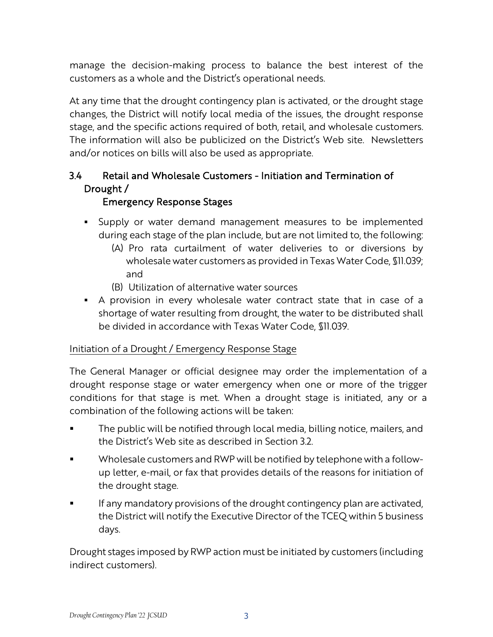manage the decision-making process to balance the best interest of the customers as a whole and the District's operational needs.

At any time that the drought contingency plan is activated, or the drought stage changes, the District will notify local media of the issues, the drought response stage, and the specific actions required of both, retail, and wholesale customers. The information will also be publicized on the District's Web site. Newsletters and/or notices on bills will also be used as appropriate.

#### 3.4 Retail and Wholesale Customers - Initiation and Termination of Drought /

#### Emergency Response Stages

- Supply or water demand management measures to be implemented during each stage of the plan include, but are not limited to, the following:
	- (A) Pro rata curtailment of water deliveries to or diversions by wholesale water customers as provided in Texas Water Code, §11.039; and
	- (B) Utilization of alternative water sources
- A provision in every wholesale water contract state that in case of a shortage of water resulting from drought, the water to be distributed shall be divided in accordance with Texas Water Code, §11.039.

#### Initiation of a Drought / Emergency Response Stage

The General Manager or official designee may order the implementation of a drought response stage or water emergency when one or more of the trigger conditions for that stage is met. When a drought stage is initiated, any or a combination of the following actions will be taken:

- The public will be notified through local media, billing notice, mailers, and the District's Web site as described in Section 3.2.
- Wholesale customers and RWP will be notified by telephone with a followup letter, e-mail, or fax that provides details of the reasons for initiation of the drought stage.
- If any mandatory provisions of the drought contingency plan are activated, the District will notify the Executive Director of the TCEQ within 5 business days.

Drought stages imposed by RWP action must be initiated by customers (including indirect customers).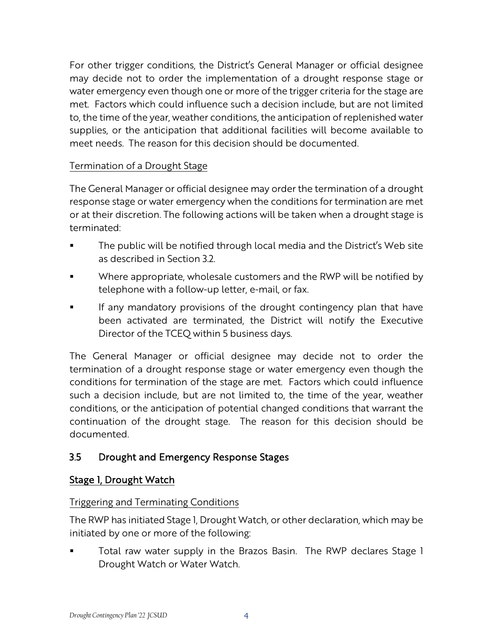For other trigger conditions, the District's General Manager or official designee may decide not to order the implementation of a drought response stage or water emergency even though one or more of the trigger criteria for the stage are met. Factors which could influence such a decision include, but are not limited to, the time of the year, weather conditions, the anticipation of replenished water supplies, or the anticipation that additional facilities will become available to meet needs. The reason for this decision should be documented.

#### Termination of a Drought Stage

The General Manager or official designee may order the termination of a drought response stage or water emergency when the conditions for termination are met or at their discretion. The following actions will be taken when a drought stage is terminated:

- The public will be notified through local media and the District's Web site as described in Section 3.2.
- Where appropriate, wholesale customers and the RWP will be notified by telephone with a follow-up letter, e-mail, or fax.
- If any mandatory provisions of the drought contingency plan that have been activated are terminated, the District will notify the Executive Director of the TCEQ within 5 business days.

The General Manager or official designee may decide not to order the termination of a drought response stage or water emergency even though the conditions for termination of the stage are met. Factors which could influence such a decision include, but are not limited to, the time of the year, weather conditions, or the anticipation of potential changed conditions that warrant the continuation of the drought stage. The reason for this decision should be documented.

#### 3.5 Drought and Emergency Response Stages

#### Stage 1, Drought Watch

#### Triggering and Terminating Conditions

The RWP has initiated Stage 1, Drought Watch, or other declaration, which may be initiated by one or more of the following:

 Total raw water supply in the Brazos Basin. The RWP declares Stage 1 Drought Watch or Water Watch.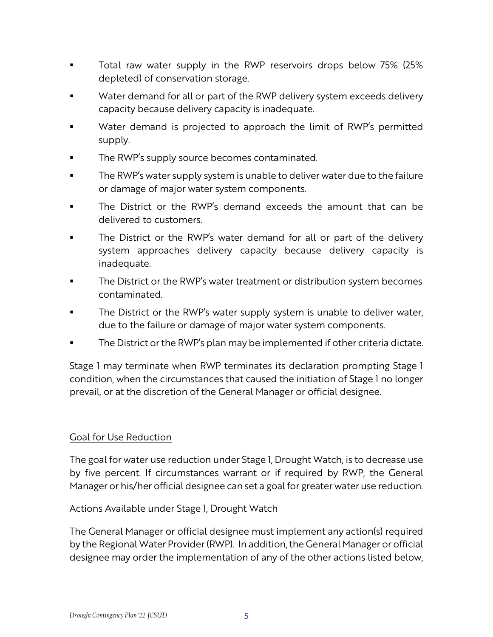- **T** Total raw water supply in the RWP reservoirs drops below 75% (25% depleted) of conservation storage.
- Water demand for all or part of the RWP delivery system exceeds delivery capacity because delivery capacity is inadequate.
- Water demand is projected to approach the limit of RWP's permitted supply.
- The RWP's supply source becomes contaminated.
- The RWP's water supply system is unable to deliver water due to the failure or damage of major water system components.
- The District or the RWP's demand exceeds the amount that can be delivered to customers.
- The District or the RWP's water demand for all or part of the delivery system approaches delivery capacity because delivery capacity is inadequate.
- The District or the RWP's water treatment or distribution system becomes contaminated.
- The District or the RWP's water supply system is unable to deliver water, due to the failure or damage of major water system components.
- The District or the RWP's plan may be implemented if other criteria dictate.

Stage 1 may terminate when RWP terminates its declaration prompting Stage 1 condition, when the circumstances that caused the initiation of Stage 1 no longer prevail, or at the discretion of the General Manager or official designee.

#### Goal for Use Reduction

The goal for water use reduction under Stage 1, Drought Watch, is to decrease use by five percent. If circumstances warrant or if required by RWP, the General Manager or his/her official designee can set a goal for greater water use reduction.

#### Actions Available under Stage 1, Drought Watch

The General Manager or official designee must implement any action(s) required by the Regional Water Provider (RWP). In addition, the General Manager or official designee may order the implementation of any of the other actions listed below,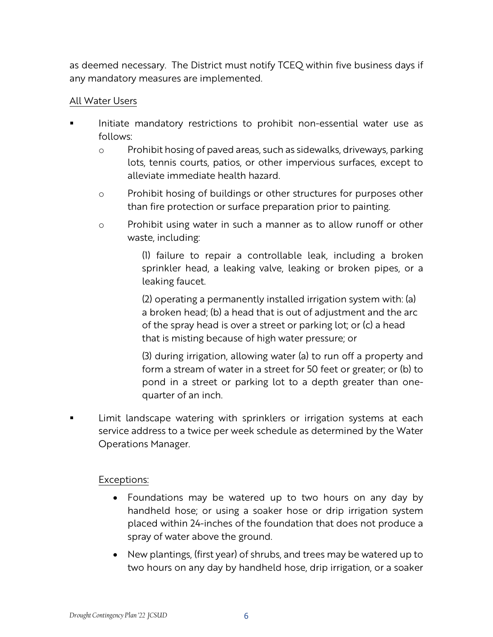as deemed necessary. The District must notify TCEQ within five business days if any mandatory measures are implemented.

#### All Water Users

- Initiate mandatory restrictions to prohibit non-essential water use as follows:
	- o Prohibit hosing of paved areas, such as sidewalks, driveways, parking lots, tennis courts, patios, or other impervious surfaces, except to alleviate immediate health hazard.
	- o Prohibit hosing of buildings or other structures for purposes other than fire protection or surface preparation prior to painting.
	- o Prohibit using water in such a manner as to allow runoff or other waste, including:

(1) failure to repair a controllable leak, including a broken sprinkler head, a leaking valve, leaking or broken pipes, or a leaking faucet.

(2) operating a permanently installed irrigation system with: (a) a broken head; (b) a head that is out of adjustment and the arc of the spray head is over a street or parking lot; or (c) a head that is misting because of high water pressure; or

(3) during irrigation, allowing water (a) to run off a property and form a stream of water in a street for 50 feet or greater; or (b) to pond in a street or parking lot to a depth greater than onequarter of an inch.

 Limit landscape watering with sprinklers or irrigation systems at each service address to a twice per week schedule as determined by the Water Operations Manager.

- Foundations may be watered up to two hours on any day by handheld hose; or using a soaker hose or drip irrigation system placed within 24-inches of the foundation that does not produce a spray of water above the ground.
- New plantings, (first year) of shrubs, and trees may be watered up to two hours on any day by handheld hose, drip irrigation, or a soaker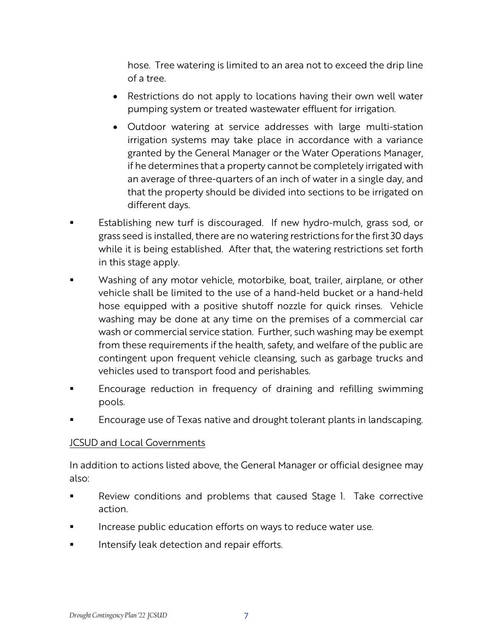hose. Tree watering is limited to an area not to exceed the drip line of a tree.

- Restrictions do not apply to locations having their own well water pumping system or treated wastewater effluent for irrigation.
- Outdoor watering at service addresses with large multi-station irrigation systems may take place in accordance with a variance granted by the General Manager or the Water Operations Manager, if he determines that a property cannot be completely irrigated with an average of three-quarters of an inch of water in a single day, and that the property should be divided into sections to be irrigated on different days.
- Establishing new turf is discouraged. If new hydro-mulch, grass sod, or grass seed is installed, there are no watering restrictions for the first 30 days while it is being established. After that, the watering restrictions set forth in this stage apply.
- Washing of any motor vehicle, motorbike, boat, trailer, airplane, or other vehicle shall be limited to the use of a hand-held bucket or a hand-held hose equipped with a positive shutoff nozzle for quick rinses. Vehicle washing may be done at any time on the premises of a commercial car wash or commercial service station. Further, such washing may be exempt from these requirements if the health, safety, and welfare of the public are contingent upon frequent vehicle cleansing, such as garbage trucks and vehicles used to transport food and perishables.
- Encourage reduction in frequency of draining and refilling swimming pools.
- Encourage use of Texas native and drought tolerant plants in landscaping.

#### JCSUD and Local Governments

In addition to actions listed above, the General Manager or official designee may also:

- Review conditions and problems that caused Stage 1. Take corrective action.
- Increase public education efforts on ways to reduce water use.
- Intensify leak detection and repair efforts.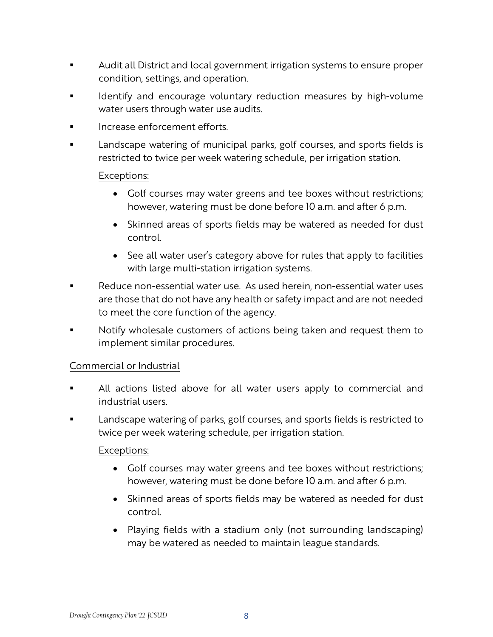- Audit all District and local government irrigation systems to ensure proper condition, settings, and operation.
- Identify and encourage voluntary reduction measures by high-volume water users through water use audits.
- Increase enforcement efforts.
- Landscape watering of municipal parks, golf courses, and sports fields is restricted to twice per week watering schedule, per irrigation station.

#### Exceptions:

- Golf courses may water greens and tee boxes without restrictions; however, watering must be done before 10 a.m. and after 6 p.m.
- Skinned areas of sports fields may be watered as needed for dust control.
- See all water user's category above for rules that apply to facilities with large multi-station irrigation systems.
- Reduce non-essential water use. As used herein, non-essential water uses are those that do not have any health or safety impact and are not needed to meet the core function of the agency.
- Notify wholesale customers of actions being taken and request them to implement similar procedures.

#### Commercial or Industrial

- All actions listed above for all water users apply to commercial and industrial users.
- Landscape watering of parks, golf courses, and sports fields is restricted to twice per week watering schedule, per irrigation station.

- Golf courses may water greens and tee boxes without restrictions; however, watering must be done before 10 a.m. and after 6 p.m.
- Skinned areas of sports fields may be watered as needed for dust control.
- Playing fields with a stadium only (not surrounding landscaping) may be watered as needed to maintain league standards.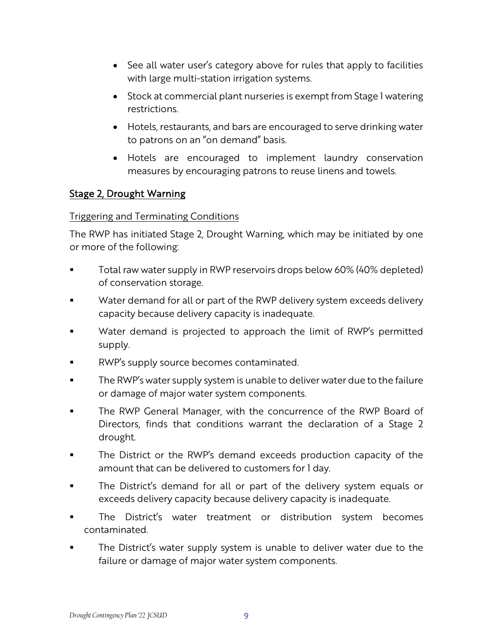- See all water user's category above for rules that apply to facilities with large multi-station irrigation systems.
- Stock at commercial plant nurseries is exempt from Stage I watering restrictions.
- Hotels, restaurants, and bars are encouraged to serve drinking water to patrons on an "on demand" basis.
- Hotels are encouraged to implement laundry conservation measures by encouraging patrons to reuse linens and towels.

#### Stage 2, Drought Warning

#### Triggering and Terminating Conditions

The RWP has initiated Stage 2, Drought Warning, which may be initiated by one or more of the following:

- Total raw water supply in RWP reservoirs drops below 60% (40% depleted) of conservation storage.
- Water demand for all or part of the RWP delivery system exceeds delivery capacity because delivery capacity is inadequate.
- Water demand is projected to approach the limit of RWP's permitted supply.
- RWP's supply source becomes contaminated.
- The RWP's water supply system is unable to deliver water due to the failure or damage of major water system components.
- The RWP General Manager, with the concurrence of the RWP Board of Directors, finds that conditions warrant the declaration of a Stage 2 drought.
- **The District or the RWP's demand exceeds production capacity of the** amount that can be delivered to customers for 1 day.
- The District's demand for all or part of the delivery system equals or exceeds delivery capacity because delivery capacity is inadequate.
- The District's water treatment or distribution system becomes contaminated.
- The District's water supply system is unable to deliver water due to the failure or damage of major water system components.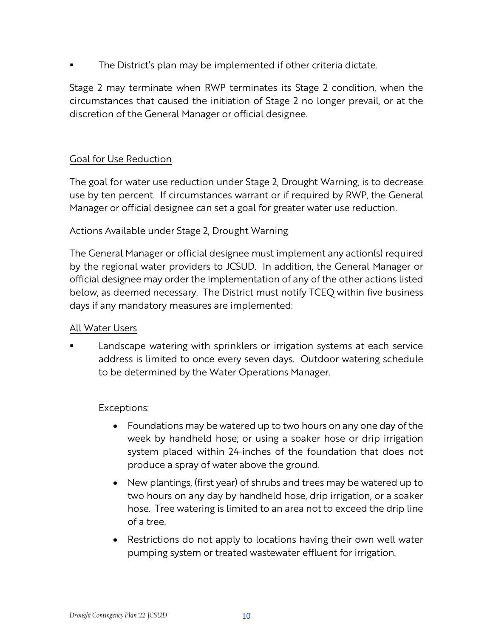The District's plan may be implemented if other criteria dictate.

Stage 2 may terminate when RWP terminates its Stage 2 condition, when the circumstances that caused the initiation of Stage 2 no longer prevail, or at the discretion of the General Manager or official designee.

#### Goal for Use Reduction

The goal for water use reduction under Stage 2, Drought Warning, is to decrease use by ten percent. If circumstances warrant or if required by RWP, the General Manager or official designee can set a goal for greater water use reduction.

#### Actions Available under Stage 2, Drought Warning

The General Manager or official designee must implement any action(s) required by the regional water providers to JCSUD. In addition, the General Manager or official designee may order the implementation of any of the other actions listed below, as deemed necessary. The District must notify TCEQ within five business days if any mandatory measures are implemented:

#### All Water Users

 Landscape watering with sprinklers or irrigation systems at each service address is limited to once every seven days. Outdoor watering schedule to be determined by the Water Operations Manager.

- Foundations may be watered up to two hours on any one day of the week by handheld hose; or using a soaker hose or drip irrigation system placed within 24-inches of the foundation that does not produce a spray of water above the ground.
- New plantings, (first year) of shrubs and trees may be watered up to two hours on any day by handheld hose, drip irrigation, or a soaker hose. Tree watering is limited to an area not to exceed the drip line of a tree.
- Restrictions do not apply to locations having their own well water pumping system or treated wastewater effluent for irrigation.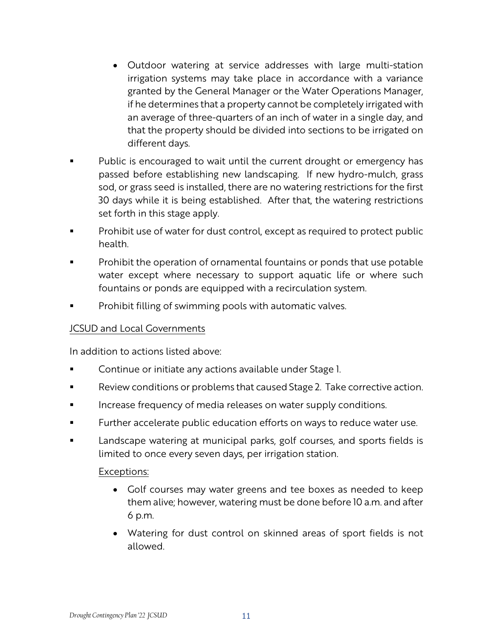- Outdoor watering at service addresses with large multi-station irrigation systems may take place in accordance with a variance granted by the General Manager or the Water Operations Manager, if he determines that a property cannot be completely irrigated with an average of three-quarters of an inch of water in a single day, and that the property should be divided into sections to be irrigated on different days.
- Public is encouraged to wait until the current drought or emergency has passed before establishing new landscaping. If new hydro-mulch, grass sod, or grass seed is installed, there are no watering restrictions for the first 30 days while it is being established. After that, the watering restrictions set forth in this stage apply.
- Prohibit use of water for dust control, except as required to protect public health.
- Prohibit the operation of ornamental fountains or ponds that use potable water except where necessary to support aquatic life or where such fountains or ponds are equipped with a recirculation system.
- Prohibit filling of swimming pools with automatic valves.

#### JCSUD and Local Governments

In addition to actions listed above:

- Continue or initiate any actions available under Stage 1.
- Review conditions or problems that caused Stage 2. Take corrective action.
- Increase frequency of media releases on water supply conditions.
- Further accelerate public education efforts on ways to reduce water use.
- Landscape watering at municipal parks, golf courses, and sports fields is limited to once every seven days, per irrigation station.

- Golf courses may water greens and tee boxes as needed to keep them alive; however, watering must be done before 10 a.m. and after 6 p.m.
- Watering for dust control on skinned areas of sport fields is not allowed.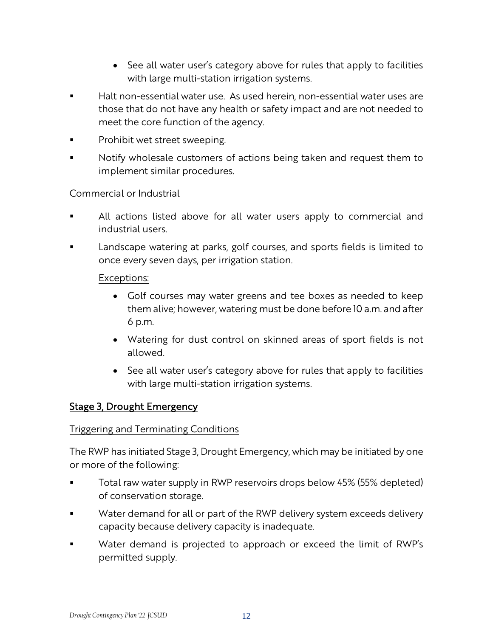- See all water user's category above for rules that apply to facilities with large multi-station irrigation systems.
- Halt non-essential water use. As used herein, non-essential water uses are those that do not have any health or safety impact and are not needed to meet the core function of the agency.
- Prohibit wet street sweeping.
- Notify wholesale customers of actions being taken and request them to implement similar procedures.

#### Commercial or Industrial

- All actions listed above for all water users apply to commercial and industrial users.
- Landscape watering at parks, golf courses, and sports fields is limited to once every seven days, per irrigation station.

#### Exceptions:

- Golf courses may water greens and tee boxes as needed to keep them alive; however, watering must be done before 10 a.m. and after 6 p.m.
- Watering for dust control on skinned areas of sport fields is not allowed.
- See all water user's category above for rules that apply to facilities with large multi-station irrigation systems.

#### Stage 3, Drought Emergency

#### Triggering and Terminating Conditions

The RWP has initiated Stage 3, Drought Emergency, which may be initiated by one or more of the following:

- Total raw water supply in RWP reservoirs drops below 45% (55% depleted) of conservation storage.
- **Water demand for all or part of the RWP delivery system exceeds delivery** capacity because delivery capacity is inadequate.
- **Water demand is projected to approach or exceed the limit of RWP's** permitted supply.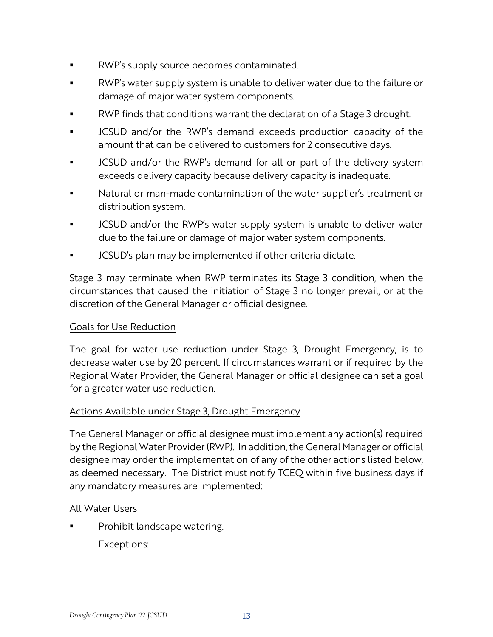- RWP's supply source becomes contaminated.
- RWP's water supply system is unable to deliver water due to the failure or damage of major water system components.
- RWP finds that conditions warrant the declaration of a Stage 3 drought.
- JCSUD and/or the RWP's demand exceeds production capacity of the amount that can be delivered to customers for 2 consecutive days.
- JCSUD and/or the RWP's demand for all or part of the delivery system exceeds delivery capacity because delivery capacity is inadequate.
- Natural or man-made contamination of the water supplier's treatment or distribution system.
- JCSUD and/or the RWP's water supply system is unable to deliver water due to the failure or damage of major water system components.
- JCSUD's plan may be implemented if other criteria dictate.

Stage 3 may terminate when RWP terminates its Stage 3 condition, when the circumstances that caused the initiation of Stage 3 no longer prevail, or at the discretion of the General Manager or official designee.

#### Goals for Use Reduction

The goal for water use reduction under Stage 3, Drought Emergency, is to decrease water use by 20 percent. If circumstances warrant or if required by the Regional Water Provider, the General Manager or official designee can set a goal for a greater water use reduction.

#### Actions Available under Stage 3, Drought Emergency

The General Manager or official designee must implement any action(s) required by the Regional Water Provider (RWP). In addition, the General Manager or official designee may order the implementation of any of the other actions listed below, as deemed necessary. The District must notify TCEQ within five business days if any mandatory measures are implemented:

#### All Water Users

Prohibit landscape watering.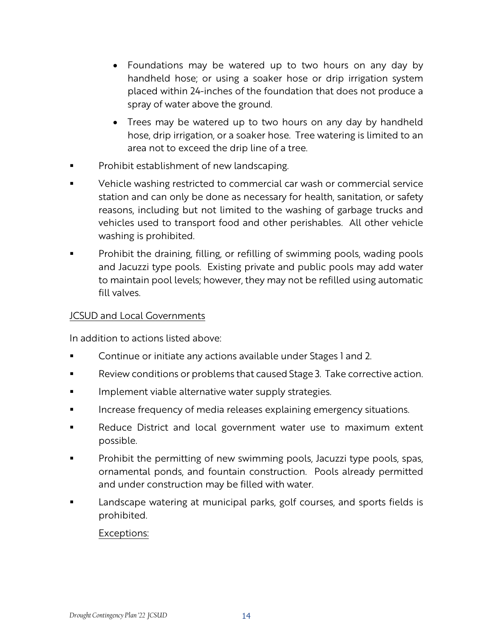- Foundations may be watered up to two hours on any day by handheld hose; or using a soaker hose or drip irrigation system placed within 24-inches of the foundation that does not produce a spray of water above the ground.
- Trees may be watered up to two hours on any day by handheld hose, drip irrigation, or a soaker hose. Tree watering is limited to an area not to exceed the drip line of a tree.
- Prohibit establishment of new landscaping.
- Vehicle washing restricted to commercial car wash or commercial service station and can only be done as necessary for health, sanitation, or safety reasons, including but not limited to the washing of garbage trucks and vehicles used to transport food and other perishables. All other vehicle washing is prohibited.
- **•** Prohibit the draining, filling, or refilling of swimming pools, wading pools and Jacuzzi type pools. Existing private and public pools may add water to maintain pool levels; however, they may not be refilled using automatic fill valves.

#### JCSUD and Local Governments

In addition to actions listed above:

- Continue or initiate any actions available under Stages 1 and 2.
- Review conditions or problems that caused Stage 3. Take corrective action.
- Implement viable alternative water supply strategies.
- Increase frequency of media releases explaining emergency situations.
- Reduce District and local government water use to maximum extent possible.
- Prohibit the permitting of new swimming pools, Jacuzzi type pools, spas, ornamental ponds, and fountain construction. Pools already permitted and under construction may be filled with water.
- Landscape watering at municipal parks, golf courses, and sports fields is prohibited.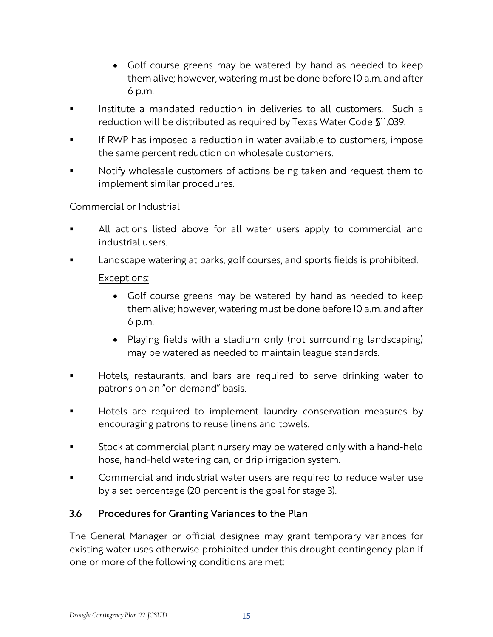- Golf course greens may be watered by hand as needed to keep them alive; however, watering must be done before 10 a.m. and after 6 p.m.
- Institute a mandated reduction in deliveries to all customers. Such a reduction will be distributed as required by Texas Water Code §11.039.
- If RWP has imposed a reduction in water available to customers, impose the same percent reduction on wholesale customers.
- Notify wholesale customers of actions being taken and request them to implement similar procedures.

#### Commercial or Industrial

- All actions listed above for all water users apply to commercial and industrial users.
- Landscape watering at parks, golf courses, and sports fields is prohibited. Exceptions:
	- Golf course greens may be watered by hand as needed to keep them alive; however, watering must be done before 10 a.m. and after 6 p.m.
	- Playing fields with a stadium only (not surrounding landscaping) may be watered as needed to maintain league standards.
- Hotels, restaurants, and bars are required to serve drinking water to patrons on an "on demand" basis.
- Hotels are required to implement laundry conservation measures by encouraging patrons to reuse linens and towels.
- Stock at commercial plant nursery may be watered only with a hand-held hose, hand-held watering can, or drip irrigation system.
- Commercial and industrial water users are required to reduce water use by a set percentage (20 percent is the goal for stage 3).

#### 3.6 Procedures for Granting Variances to the Plan

The General Manager or official designee may grant temporary variances for existing water uses otherwise prohibited under this drought contingency plan if one or more of the following conditions are met: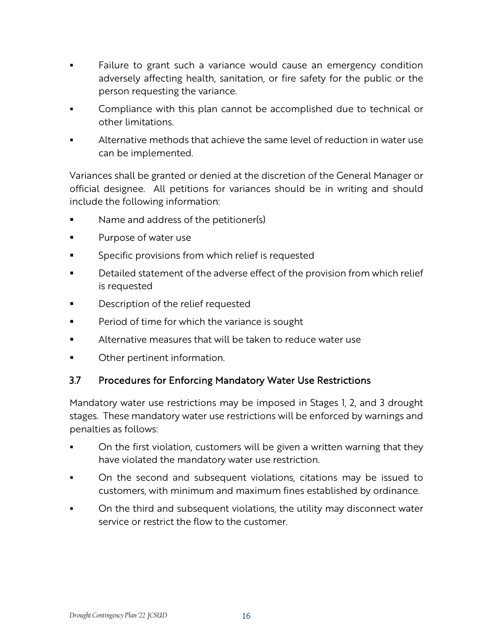- Failure to grant such a variance would cause an emergency condition adversely affecting health, sanitation, or fire safety for the public or the person requesting the variance.
- Compliance with this plan cannot be accomplished due to technical or other limitations.
- Alternative methods that achieve the same level of reduction in water use can be implemented.

Variances shall be granted or denied at the discretion of the General Manager or official designee. All petitions for variances should be in writing and should include the following information:

- Name and address of the petitioner(s)
- Purpose of water use
- Specific provisions from which relief is requested
- Detailed statement of the adverse effect of the provision from which relief is requested
- Description of the relief requested
- Period of time for which the variance is sought
- Alternative measures that will be taken to reduce water use
- Other pertinent information.

#### 3.7 Procedures for Enforcing Mandatory Water Use Restrictions

Mandatory water use restrictions may be imposed in Stages 1, 2, and 3 drought stages. These mandatory water use restrictions will be enforced by warnings and penalties as follows:

- On the first violation, customers will be given a written warning that they have violated the mandatory water use restriction.
- On the second and subsequent violations, citations may be issued to customers, with minimum and maximum fines established by ordinance.
- **•** On the third and subsequent violations, the utility may disconnect water service or restrict the flow to the customer.